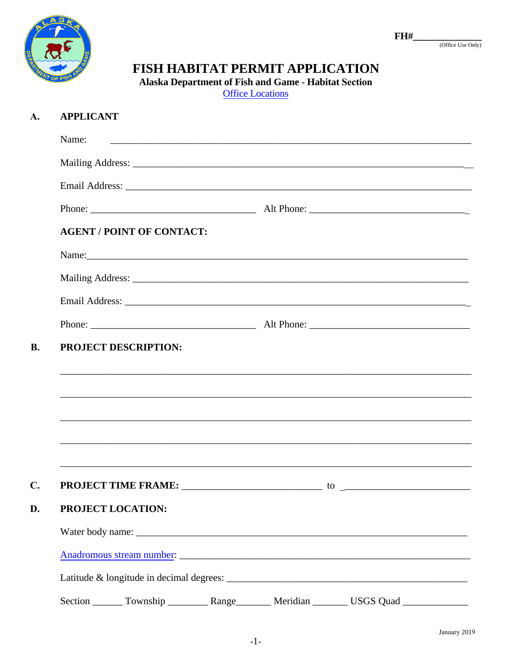

### $FH#$

(Office Use Only)

# FISH HABITAT PERMIT APPLICATION

Alaska Department of Fish and Game - Habitat Section

**Office Locations** 

#### **APPLICANT** A.

| Name:                                                                                               |  |  |
|-----------------------------------------------------------------------------------------------------|--|--|
|                                                                                                     |  |  |
|                                                                                                     |  |  |
|                                                                                                     |  |  |
| <b>AGENT / POINT OF CONTACT:</b>                                                                    |  |  |
|                                                                                                     |  |  |
|                                                                                                     |  |  |
|                                                                                                     |  |  |
|                                                                                                     |  |  |
|                                                                                                     |  |  |
|                                                                                                     |  |  |
| <b>PROJECT LOCATION:</b>                                                                            |  |  |
|                                                                                                     |  |  |
|                                                                                                     |  |  |
|                                                                                                     |  |  |
| Section ________ Township ____________ Range _________ Meridian _________ USGS Quad _______________ |  |  |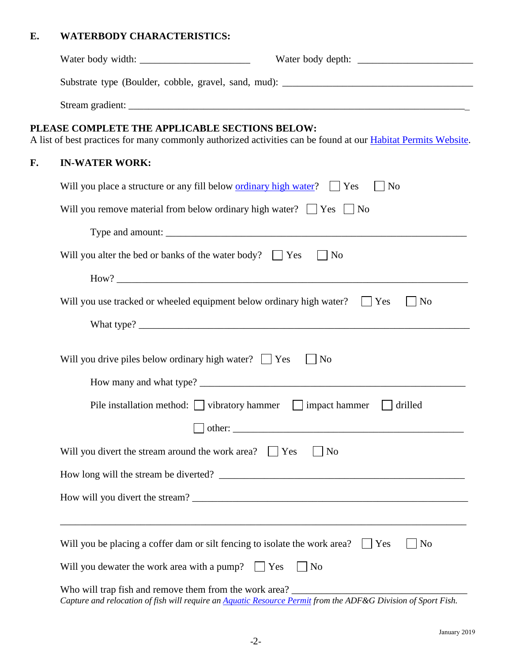# **E. WATERBODY CHARACTERISTICS:**

| PLEASE COMPLETE THE APPLICABLE SECTIONS BELOW:<br>A list of best practices for many commonly authorized activities can be found at our <b>Habitat Permits Website</b> .                                   |            |  |  |  |
|-----------------------------------------------------------------------------------------------------------------------------------------------------------------------------------------------------------|------------|--|--|--|
| F.<br><b>IN-WATER WORK:</b>                                                                                                                                                                               |            |  |  |  |
| Will you place a structure or any fill below <u>ordinary high water</u> ? $\Box$ Yes                                                                                                                      | $\vert$ No |  |  |  |
| Will you remove material from below ordinary high water? $\Box$ Yes $\Box$ No                                                                                                                             |            |  |  |  |
|                                                                                                                                                                                                           |            |  |  |  |
| Will you alter the bed or banks of the water body? $\Box$ Yes<br><b>No</b>                                                                                                                                |            |  |  |  |
|                                                                                                                                                                                                           |            |  |  |  |
| Will you use tracked or wheeled equipment below ordinary high water?<br>$ $ No<br>Yes                                                                                                                     |            |  |  |  |
|                                                                                                                                                                                                           |            |  |  |  |
| Will you drive piles below ordinary high water? $\Box$ Yes<br>N <sub>o</sub>                                                                                                                              |            |  |  |  |
|                                                                                                                                                                                                           |            |  |  |  |
| Pile installation method: $\Box$ vibratory hammer $\Box$ impact hammer                                                                                                                                    | drilled    |  |  |  |
| $\Box$ other:<br><u> 2000 - 2000 - 2000 - 2000 - 2000 - 2000 - 2000 - 2000 - 2000 - 2000 - 2000 - 2000 - 2000 - 2000 - 2000 - 200</u>                                                                     |            |  |  |  |
| $ $ No<br>Will you divert the stream around the work area? $\Box$ Yes                                                                                                                                     |            |  |  |  |
|                                                                                                                                                                                                           |            |  |  |  |
|                                                                                                                                                                                                           |            |  |  |  |
|                                                                                                                                                                                                           |            |  |  |  |
| Will you be placing a coffer dam or silt fencing to isolate the work area? $\Box$ Yes                                                                                                                     | $ $ No     |  |  |  |
| Will you dewater the work area with a pump? $\Box$ Yes<br>  No                                                                                                                                            |            |  |  |  |
| Who will trap fish and remove them from the work area? __________________________<br>Capture and relocation of fish will require an <i>Aquatic Resource Permit</i> from the ADF&G Division of Sport Fish. |            |  |  |  |